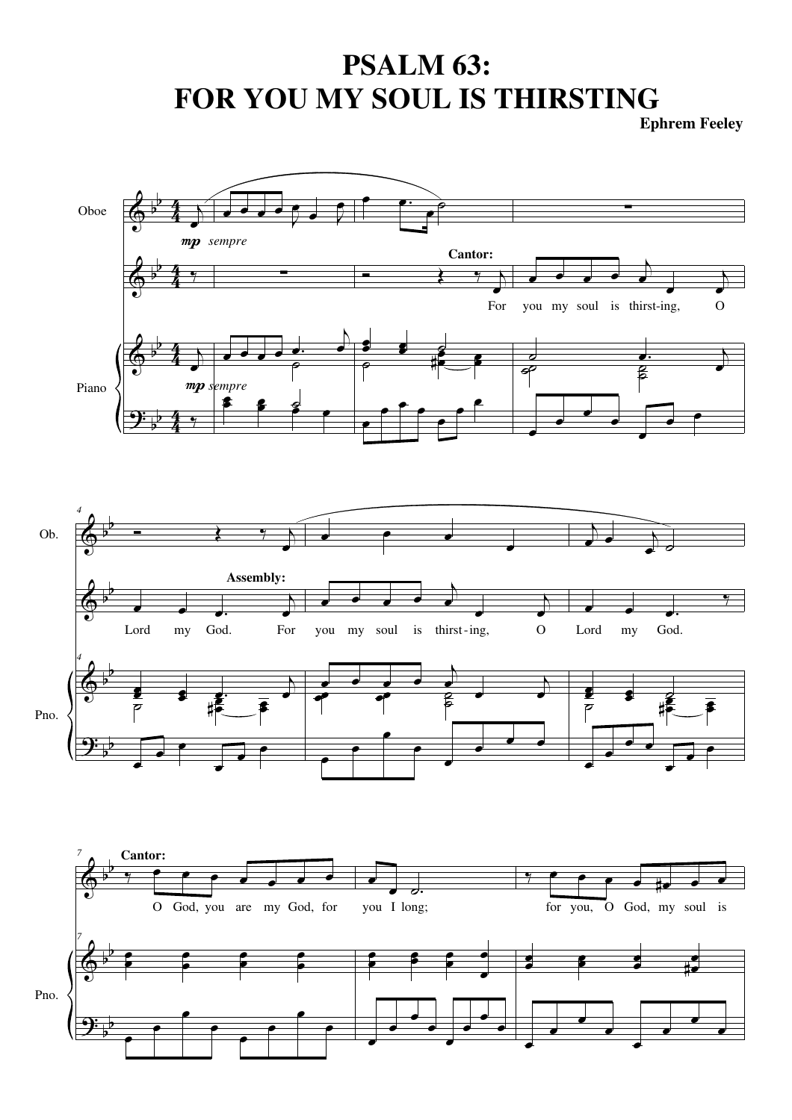## **PSALM 63: FOR YOU MY SOUL IS THIRSTING**

**Ephrem Feeley**



Pno.

<u>.</u>

b b

œ

œ

œ

œ

œ

œ

œ œ œ œ œ œ

œ

œ

œ

œ

œ

œ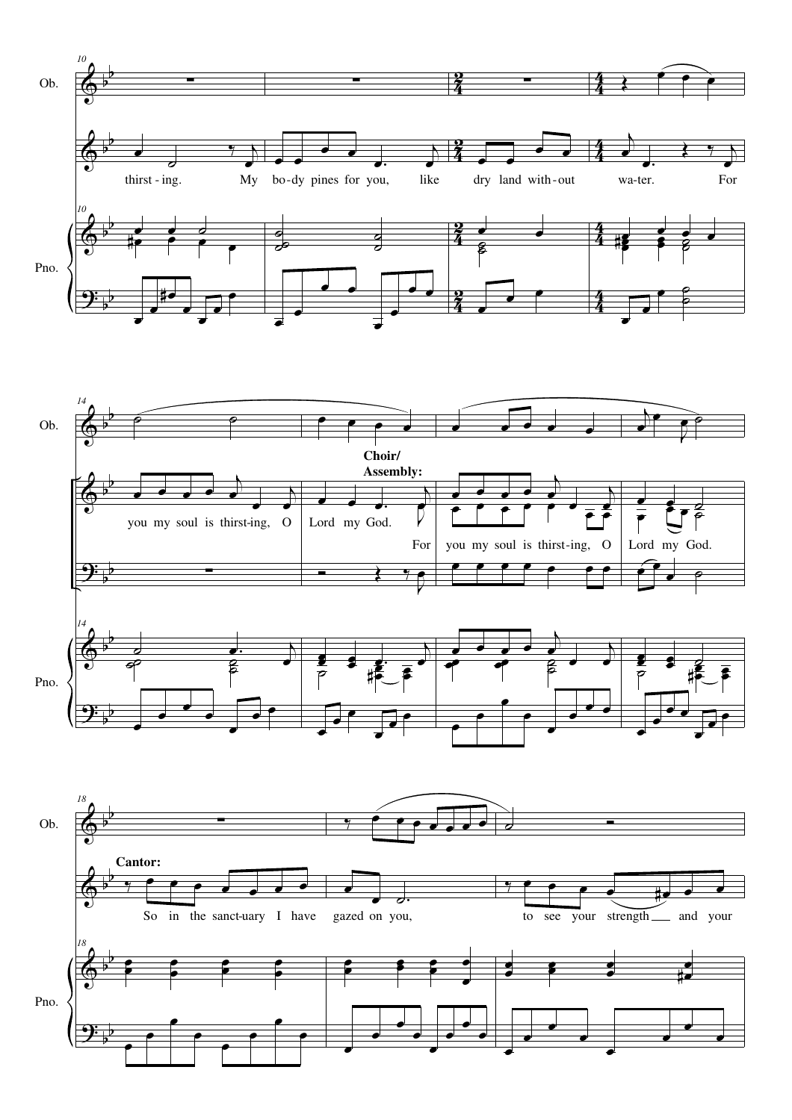